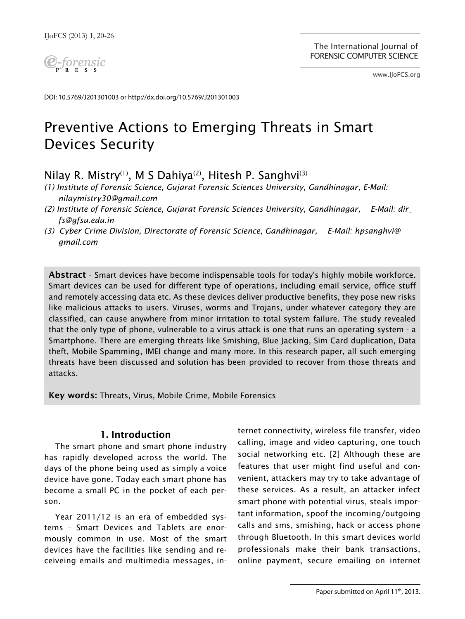

www.IJoFCS.org

DOI: 10.5769/J201301003 or http://dx.doi.org/10.5769/J201301003

# Preventive Actions to Emerging Threats in Smart Devices Security

## Nilay R. Mistry<sup>(1)</sup>, M S Dahiya<sup>(2)</sup>, Hitesh P. Sanghvi<sup>(3)</sup>

- *(1) Institute of Forensic Science, Gujarat Forensic Sciences University, Gandhinagar, E-Mail: nilaymistry30@gmail.com*
- *(2) Institute of Forensic Science, Gujarat Forensic Sciences University, Gandhinagar, E-Mail: dir\_ fs@gfsu.edu.in*
- *(3) Cyber Crime Division, Directorate of Forensic Science, Gandhinagar, E-Mail: hpsanghvi@ gmail.com*

Abstract - Smart devices have become indispensable tools for today's highly mobile workforce. Smart devices can be used for different type of operations, including email service, office stuff and remotely accessing data etc. As these devices deliver productive benefits, they pose new risks like malicious attacks to users. Viruses, worms and Trojans, under whatever category they are classified, can cause anywhere from minor irritation to total system failure. The study revealed that the only type of phone, vulnerable to a virus attack is one that runs an operating system - a Smartphone. There are emerging threats like Smishing, Blue Jacking, Sim Card duplication, Data theft, Mobile Spamming, IMEI change and many more. In this research paper, all such emerging threats have been discussed and solution has been provided to recover from those threats and attacks.

Key words: Threats, Virus, Mobile Crime, Mobile Forensics

## 1. Introduction

The smart phone and smart phone industry has rapidly developed across the world. The days of the phone being used as simply a voice device have gone. Today each smart phone has become a small PC in the pocket of each person.

Year 2011/12 is an era of embedded systems – Smart Devices and Tablets are enormously common in use. Most of the smart devices have the facilities like sending and receiveing emails and multimedia messages, internet connectivity, wireless file transfer, video calling, image and video capturing, one touch social networking etc. [2] Although these are features that user might find useful and convenient, attackers may try to take advantage of these services. As a result, an attacker infect smart phone with potential virus, steals important information, spoof the incoming/outgoing calls and sms, smishing, hack or access phone through Bluetooth. In this smart devices world professionals make their bank transactions, online payment, secure emailing on internet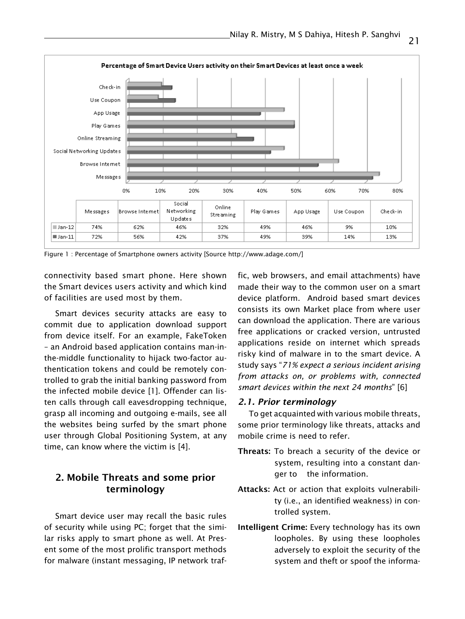

Figure 1 : Percentage of Smartphone owners activity [Source http://www.adage.com/]

connectivity based smart phone. Here shown the Smart devices users activity and which kind of facilities are used most by them.

Smart devices security attacks are easy to commit due to application download support from device itself. For an example, FakeToken – an Android based application contains man-inthe-middle functionality to hijack two-factor authentication tokens and could be remotely controlled to grab the initial banking password from the infected mobile device [1]. Offender can listen calls through call eavesdropping technique, grasp all incoming and outgoing e-mails, see all the websites being surfed by the smart phone user through Global Positioning System, at any time, can know where the victim is [4].

## 2. Mobile Threats and some prior terminology

Smart device user may recall the basic rules of security while using PC; forget that the similar risks apply to smart phone as well. At Present some of the most prolific transport methods for malware (instant messaging, IP network traf-

fic, web browsers, and email attachments) have made their way to the common user on a smart device platform. Android based smart devices consists its own Market place from where user can download the application. There are various free applications or cracked version, untrusted applications reside on internet which spreads risky kind of malware in to the smart device. A study says "*71% expect a serious incident arising from attacks on, or problems with, connected smart devices within the next 24 months*" [6]

#### *2.1. Prior terminology*

To get acquainted with various mobile threats, some prior terminology like threats, attacks and mobile crime is need to refer.

- Threats: To breach a security of the device or system, resulting into a constant danger to the information.
- Attacks: Act or action that exploits vulnerability (i.e., an identified weakness) in controlled system.
- Intelligent Crime: Every technology has its own loopholes. By using these loopholes adversely to exploit the security of the system and theft or spoof the informa-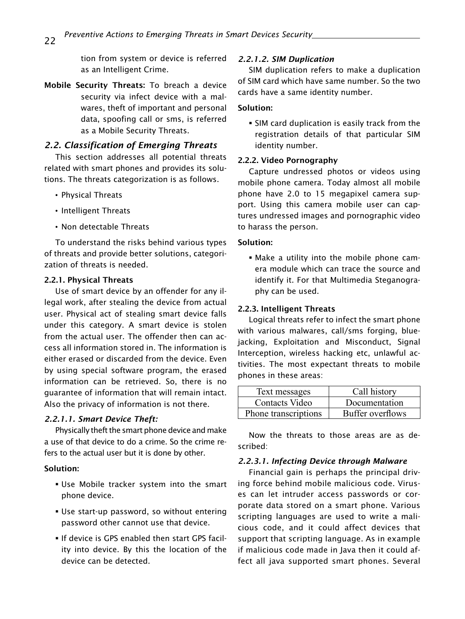tion from system or device is referred as an Intelligent Crime.

Mobile Security Threats: To breach a device security via infect device with a malwares, theft of important and personal data, spoofing call or sms, is referred as a Mobile Security Threats.

## *2.2. Classification of Emerging Threats*

This section addresses all potential threats related with smart phones and provides its solutions. The threats categorization is as follows.

- Physical Threats
- Intelligent Threats
- Non detectable Threats

To understand the risks behind various types of threats and provide better solutions, categorization of threats is needed.

#### 2.2.1. Physical Threats

Use of smart device by an offender for any illegal work, after stealing the device from actual user. Physical act of stealing smart device falls under this category. A smart device is stolen from the actual user. The offender then can access all information stored in. The information is either erased or discarded from the device. Even by using special software program, the erased information can be retrieved. So, there is no guarantee of information that will remain intact. Also the privacy of information is not there.

## *2.2.1.1. Smart Device Theft:*

Physically theft the smart phone device and make a use of that device to do a crime. So the crime refers to the actual user but it is done by other.

## Solution:

- Use Mobile tracker system into the smart phone device.
- Use start-up password, so without entering password other cannot use that device.
- **If device is GPS enabled then start GPS facil**ity into device. By this the location of the device can be detected.

## *2.2.1.2. SIM Duplication*

SIM duplication refers to make a duplication of SIM card which have same number. So the two cards have a same identity number.

## Solution:

 SIM card duplication is easily track from the registration details of that particular SIM identity number.

#### 2.2.2. Video Pornography

Capture undressed photos or videos using mobile phone camera. Today almost all mobile phone have 2.0 to 15 megapixel camera support. Using this camera mobile user can captures undressed images and pornographic video to harass the person.

#### Solution:

 Make a utility into the mobile phone camera module which can trace the source and identify it. For that Multimedia Steganography can be used.

### 2.2.3. Intelligent Threats

Logical threats refer to infect the smart phone with various malwares, call/sms forging, bluejacking, Exploitation and Misconduct, Signal Interception, wireless hacking etc, unlawful activities. The most expectant threats to mobile phones in these areas:

| Text messages        | Call history     |
|----------------------|------------------|
| Contacts Video       | Documentation    |
| Phone transcriptions | Buffer overflows |

Now the threats to those areas are as described:

## *2.2.3.1. Infecting Device through Malware*

Financial gain is perhaps the principal driving force behind mobile malicious code. Viruses can let intruder access passwords or corporate data stored on a smart phone. Various scripting languages are used to write a malicious code, and it could affect devices that support that scripting language. As in example if malicious code made in Java then it could affect all java supported smart phones. Several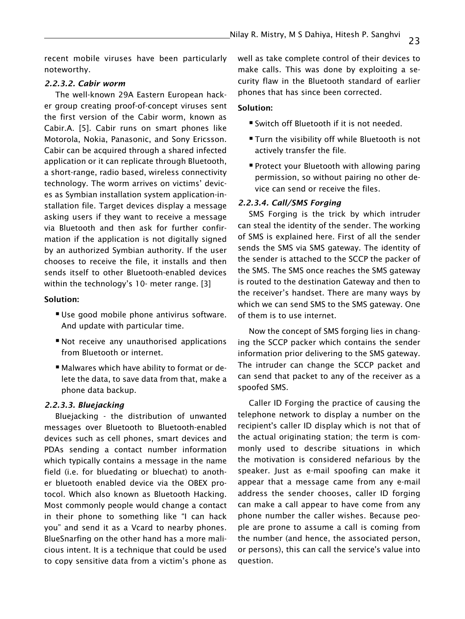recent mobile viruses have been particularly noteworthy.

#### *2.2.3.2. Cabir worm*

The well-known 29A Eastern European hacker group creating proof-of-concept viruses sent the first version of the Cabir worm, known as Cabir.A. [5]. Cabir runs on smart phones like Motorola, Nokia, Panasonic, and Sony Ericsson. Cabir can be acquired through a shared infected application or it can replicate through Bluetooth, a short-range, radio based, wireless connectivity technology. The worm arrives on victims' devices as Symbian installation system application-installation file. Target devices display a message asking users if they want to receive a message via Bluetooth and then ask for further confirmation if the application is not digitally signed by an authorized Symbian authority. If the user chooses to receive the file, it installs and then sends itself to other Bluetooth-enabled devices within the technology's 10- meter range. [3]

#### Solution:

- Use good mobile phone antivirus software. And update with particular time.
- Not receive any unauthorised applications from Bluetooth or internet.
- Malwares which have ability to format or delete the data, to save data from that, make a phone data backup.

### *2.2.3.3. Bluejacking*

Bluejacking - the distribution of unwanted messages over Bluetooth to Bluetooth-enabled devices such as cell phones, smart devices and PDAs sending a contact number information which typically contains a message in the name field (i.e. for bluedating or bluechat) to another bluetooth enabled device via the OBEX protocol. Which also known as Bluetooth Hacking. Most commonly people would change a contact in their phone to something like "I can hack you" and send it as a Vcard to nearby phones. BlueSnarfing on the other hand has a more malicious intent. It is a technique that could be used to copy sensitive data from a victim's phone as

well as take complete control of their devices to make calls. This was done by exploiting a security flaw in the Bluetooth standard of earlier phones that has since been corrected.

#### Solution:

- Switch off Bluetooth if it is not needed.
- **Turn the visibility off while Bluetooth is not** actively transfer the file.
- **Protect your Bluetooth with allowing paring** permission, so without pairing no other device can send or receive the files.

#### *2.2.3.4. Call/SMS Forging*

SMS Forging is the trick by which intruder can steal the identity of the sender. The working of SMS is explained here. First of all the sender sends the SMS via SMS gateway. The identity of the sender is attached to the SCCP the packer of the SMS. The SMS once reaches the SMS gateway is routed to the destination Gateway and then to the receiver's handset. There are many ways by which we can send SMS to the SMS gateway. One of them is to use internet.

Now the concept of SMS forging lies in changing the SCCP packer which contains the sender information prior delivering to the SMS gateway. The intruder can change the SCCP packet and can send that packet to any of the receiver as a spoofed SMS.

Caller ID Forging the practice of causing the telephone network to display a number on the recipient's caller ID display which is not that of the actual originating station; the term is commonly used to describe situations in which the motivation is considered nefarious by the speaker. Just as e-mail spoofing can make it appear that a message came from any e-mail address the sender chooses, caller ID forging can make a call appear to have come from any phone number the caller wishes. Because people are prone to assume a call is coming from the number (and hence, the associated person, or persons), this can call the service's value into question.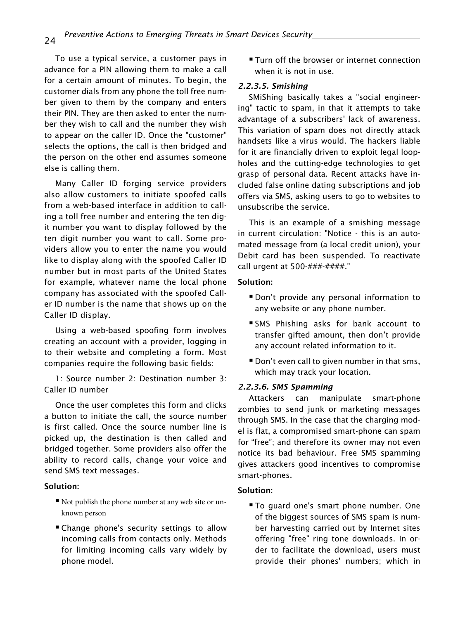To use a typical service, a customer pays in advance for a PIN allowing them to make a call for a certain amount of minutes. To begin, the customer dials from any phone the toll free number given to them by the company and enters their PIN. They are then asked to enter the number they wish to call and the number they wish to appear on the caller ID. Once the "customer" selects the options, the call is then bridged and the person on the other end assumes someone else is calling them.

Many Caller ID forging service providers also allow customers to initiate spoofed calls from a web-based interface in addition to calling a toll free number and entering the ten digit number you want to display followed by the ten digit number you want to call. Some providers allow you to enter the name you would like to display along with the spoofed Caller ID number but in most parts of the United States for example, whatever name the local phone company has associated with the spoofed Caller ID number is the name that shows up on the Caller ID display.

Using a web-based spoofing form involves creating an account with a provider, logging in to their website and completing a form. Most companies require the following basic fields:

1: Source number 2: Destination number 3: Caller ID number

Once the user completes this form and clicks a button to initiate the call, the source number is first called. Once the source number line is picked up, the destination is then called and bridged together. Some providers also offer the ability to record calls, change your voice and send SMS text messages.

#### Solution:

- Not publish the phone number at any web site or unknown person
- Change phone's security settings to allow incoming calls from contacts only. Methods for limiting incoming calls vary widely by phone model.

**Turn off the browser or internet connection** when it is not in use.

#### *2.2.3.5. Smishing*

SMiShing basically takes a "social engineering" tactic to spam, in that it attempts to take advantage of a subscribers' lack of awareness. This variation of spam does not directly attack handsets like a virus would. The hackers liable for it are financially driven to exploit legal loopholes and the cutting-edge technologies to get grasp of personal data. Recent attacks have included false online dating subscriptions and job offers via SMS, asking users to go to websites to unsubscribe the service.

This is an example of a smishing message in current circulation: "Notice - this is an automated message from (a local credit union), your Debit card has been suspended. To reactivate call urgent at 500-###-####."

#### Solution:

- Don't provide any personal information to any website or any phone number.
- SMS Phishing asks for bank account to transfer gifted amount, then don't provide any account related information to it.
- **Don't even call to given number in that sms,** which may track your location.

#### *2.2.3.6. SMS Spamming*

Attackers can manipulate smart-phone zombies to send junk or marketing messages through SMS. In the case that the charging model is flat, a compromised smart-phone can spam for "free"; and therefore its owner may not even notice its bad behaviour. Free SMS spamming gives attackers good incentives to compromise smart-phones.

#### Solution:

**To quard one's smart phone number. One** of the biggest sources of SMS spam is number harvesting carried out by Internet sites offering "free" ring tone downloads. In order to facilitate the download, users must provide their phones' numbers; which in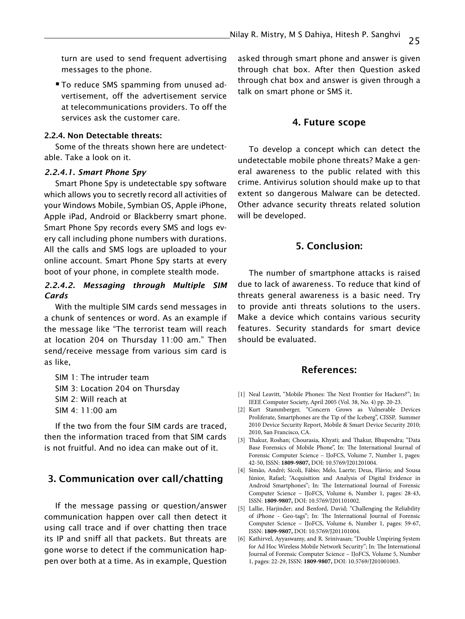turn are used to send frequent advertising messages to the phone.

**To reduce SMS spamming from unused ad**vertisement, off the advertisement service at telecommunications providers. To off the services ask the customer care.

#### 2.2.4. Non Detectable threats:

Some of the threats shown here are undetectable. Take a look on it.

#### *2.2.4.1. Smart Phone Spy*

Smart Phone Spy is undetectable spy software which allows you to secretly record all activities of your Windows Mobile, Symbian OS, Apple iPhone, Apple iPad, Android or Blackberry smart phone. Smart Phone Spy records every SMS and logs every call including phone numbers with durations. All the calls and SMS logs are uploaded to your online account. Smart Phone Spy starts at every boot of your phone, in complete stealth mode.

## *2.2.4.2. Messaging through Multiple SIM Cards*

With the multiple SIM cards send messages in a chunk of sentences or word. As an example if the message like "The terrorist team will reach at location 204 on Thursday 11:00 am." Then send/receive message from various sim card is as like,

SIM 1: The intruder team SIM 3: Location 204 on Thursday SIM 2: Will reach at SIM 4: 11:00 am

If the two from the four SIM cards are traced, then the information traced from that SIM cards is not fruitful. And no idea can make out of it.

## 3. Communication over call/chatting

If the message passing or question/answer communication happen over call then detect it using call trace and if over chatting then trace its IP and sniff all that packets. But threats are gone worse to detect if the communication happen over both at a time. As in example, Question

asked through smart phone and answer is given through chat box. After then Question asked through chat box and answer is given through a talk on smart phone or SMS it.

#### 4. Future scope

To develop a concept which can detect the undetectable mobile phone threats? Make a general awareness to the public related with this crime. Antivirus solution should make up to that extent so dangerous Malware can be detected. Other advance security threats related solution will be developed.

## 5. Conclusion:

The number of smartphone attacks is raised due to lack of awareness. To reduce that kind of threats general awareness is a basic need. Try to provide anti threats solutions to the users. Make a device which contains various security features. Security standards for smart device should be evaluated.

## References:

- [1] Neal Leavitt, "Mobile Phones: The Next Frontier for Hackers?"; In: IEEE Computer Society, April 2005 (Vol. 38, No. 4) pp. 20-23.
- [2] Kurt Stammberger, "Concern Grows as Vulnerable Devices Proliferate, Smartphones are the Tip of the Iceberg", CISSP, Summer 2010 Device Security Report, Mobile & Smart Device Security 2010; 2010, San Francisco, CA.
- [3] Thakur, Roshan; Chourasia, Khyati; and Thakur, Bhupendra; "Data Base Forensics of Mobile Phone", In: The International Journal of Forensic Computer Science – IJoFCS, Volume 7, Number 1, pages: 42-50, ISSN: **1809-9807,** DOI: 10.5769/J201201004.
- [4] Simão, André; Sícoli, Fábio; Melo, Laerte; Deus, Flávio; and Sousa Júnior, Rafael; "Acquisition and Analysis of Digital Evidence in Android Smartphones"; In: The International Journal of Forensic Computer Science – IJoFCS, Volume 6, Number 1, pages: 28-43, ISSN: **1809-9807,** DOI: 10.5769/J201101002.
- [5] Lallie, Harjinder; and Benford, David; "Challenging the Reliability of iPhone - Geo-tags"; In: The International Journal of Forensic Computer Science – IJoFCS, Volume 6, Number 1, pages: 59-67, ISSN: **1809-9807,** DOI: 10.5769/J201101004.
- [6] Kathirvel, Ayyaswamy, and R. Srinivasan; "Double Umpiring System for Ad Hoc Wireless Mobile Network Security"; In: The International Journal of Forensic Computer Science – IJoFCS, Volume 5, Number 1, pages: 22-29, ISSN: **1809-9807,** DOI: 10.5769/J201001003.